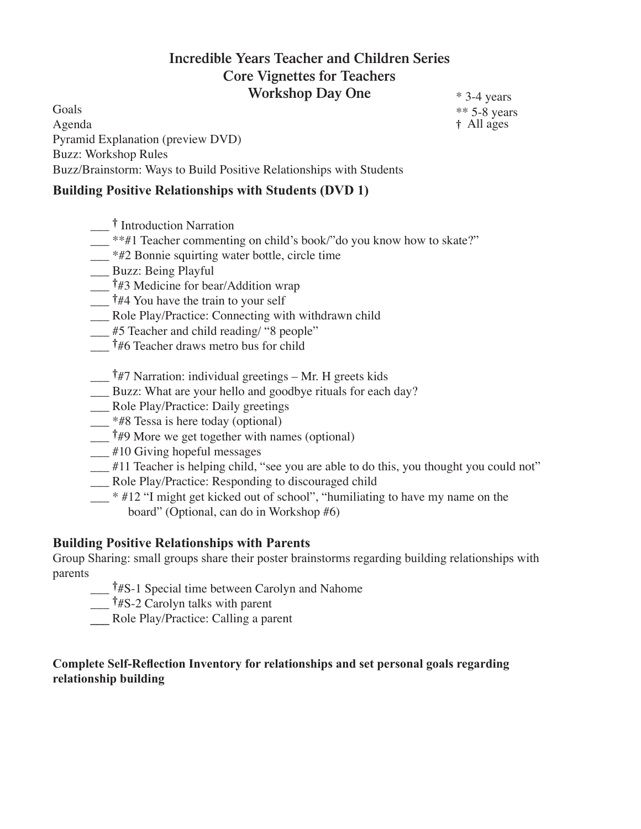# **Incredible Years Teacher and Children Series Core Vignettes for Teachers Workshop Day One**

Goals Agenda Pyramid Explanation (preview DVD) Buzz: Workshop Rules Buzz/Brainstorm: Ways to Build Positive Relationships with Students

### **Building Positive Relationships with Students (DVD 1)**

- $\mu$ <sup>\*\*#1</sup> Teacher commenting on child's book/"do you know how to skate?"
- \_\_\_ \*#2 Bonnie squirting water bottle, circle time
- \_\_\_ Buzz: Being Playful
- \_\_\_ †#3 Medicine for bear/Addition wrap
- $\frac{1}{44}$  You have the train to your self
- \_\_\_ Role Play/Practice: Connecting with withdrawn child
- \_\_\_ #5 Teacher and child reading/ "8 people"
- \_\_\_ †#6 Teacher draws metro bus for child
- \_\_\_ †#7 Narration: individual greetings Mr. H greets kids
- \_\_\_ Buzz: What are your hello and goodbye rituals for each day?
- \_\_\_ Role Play/Practice: Daily greetings
- \_\_\_ \*#8 Tessa is here today (optional)
- $\frac{1}{4}$  +49 More we get together with names (optional)
- \_\_\_ #10 Giving hopeful messages
- \_\_\_ #11 Teacher is helping child, "see you are able to do this, you thought you could not"
- \_\_\_ Role Play/Practice: Responding to discouraged child
- $\frac{1}{2}$  \* #12 "I might get kicked out of school", "humiliating to have my name on the board" (Optional, can do in Workshop #6)

#### **Building Positive Relationships with Parents**

Group Sharing: small groups share their poster brainstorms regarding building relationships with parents

- \_\_\_ †#S-1 Special time between Carolyn and Nahome
- $\frac{1}{1}$  †#S-2 Carolyn talks with parent
- **\_\_\_** Role Play/Practice: Calling a parent

#### **Complete Self-Reflection Inventory for relationships and set personal goals regarding relationship building**

\* 3-4 years \*\* 5-8 years † All ages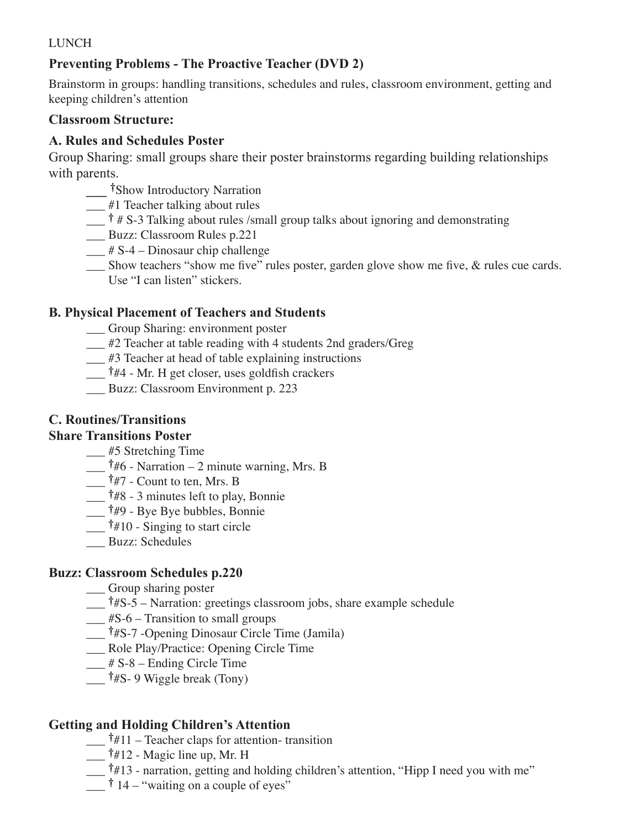# **Preventing Problems - The Proactive Teacher (DVD 2)**

Brainstorm in groups: handling transitions, schedules and rules, classroom environment, getting and keeping children's attention

### **Classroom Structure:**

## **A. Rules and Schedules Poster**

Group Sharing: small groups share their poster brainstorms regarding building relationships with parents.

- **\_\_\_** †Show Introductory Narration
- \_\_\_ #1 Teacher talking about rules
- $\frac{1}{x}$   $\frac{1}{x}$  # S-3 Talking about rules /small group talks about ignoring and demonstrating
- \_\_\_ Buzz: Classroom Rules p.221
- $\frac{1}{2}$  # S-4 Dinosaur chip challenge
- \_\_\_ Show teachers "show me five" rules poster, garden glove show me five, & rules cue cards. Use "I can listen" stickers.

## **B. Physical Placement of Teachers and Students**

\_\_\_ Group Sharing: environment poster

- \_\_\_ #2 Teacher at table reading with 4 students 2nd graders/Greg
- \_\_\_ #3 Teacher at head of table explaining instructions
- \_\_\_ †#4 Mr. H get closer, uses goldfish crackers
- \_\_\_ Buzz: Classroom Environment p. 223

# **C. Routines/Transitions**

### **Share Transitions Poster**

\_\_\_ #5 Stretching Time

- $\frac{1}{46}$  Narration 2 minute warning, Mrs. B
- \_\_\_ †#7 Count to ten, Mrs. B
- \_\_\_ †#8 3 minutes left to play, Bonnie
- \_\_\_ †#9 Bye Bye bubbles, Bonnie
- $\frac{1}{\sqrt{1 + 10}}$  +  $\frac{1}{\pi}$  Singing to start circle
- \_\_\_ Buzz: Schedules

### **Buzz: Classroom Schedules p.220**

\_\_\_ Group sharing poster

- $\frac{1}{4}$  †#S-5 Narration: greetings classroom jobs, share example schedule
- $\underline{\hspace{1cm}}$ #S-6 Transition to small groups
- \_\_\_ †#S-7 -Opening Dinosaur Circle Time (Jamila)
- \_\_\_ Role Play/Practice: Opening Circle Time
- $\frac{1}{2}$  # S-8 Ending Circle Time
- $\frac{1}{4}$  †#S- 9 Wiggle break (Tony)

## **Getting and Holding Children's Attention**

- $\frac{1}{4}$  +  $\frac{11}{1}$  Teacher claps for attention-transition
- \_\_\_ †#12 Magic line up, Mr. H
- \_\_\_ †#13 narration, getting and holding children's attention, "Hipp I need you with me"
- $\frac{1}{2}$  + 14 "waiting on a couple of eyes"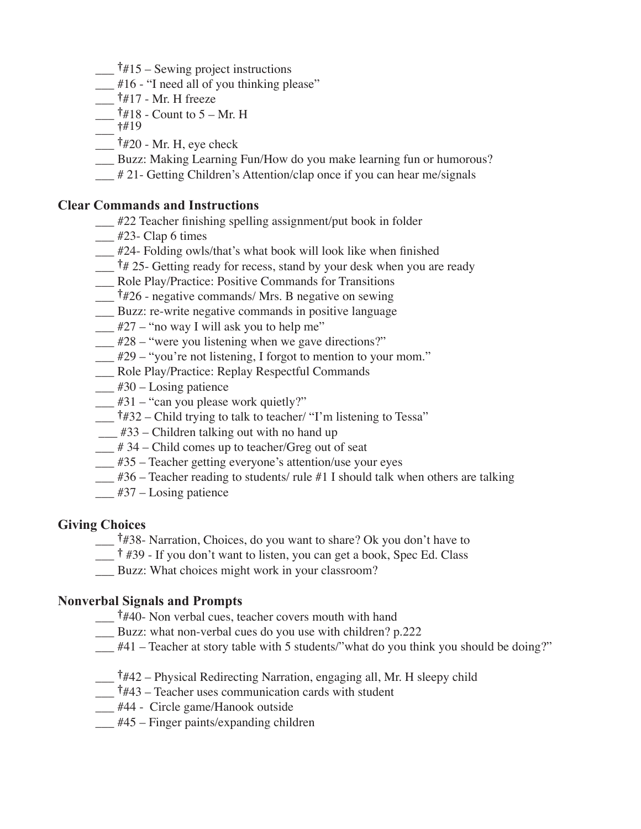- $\frac{1}{4}$  †#15 Sewing project instructions
- $#16$  "I need all of you thinking please"
- $\dagger$ #17 Mr. H freeze
- $\frac{1}{4}$  + 18 Count to 5 Mr. H
- $\frac{1}{419}$
- $\dagger$ #20 Mr. H, eye check
- \_\_\_ Buzz: Making Learning Fun/How do you make learning fun or humorous?
- # 21- Getting Children's Attention/clap once if you can hear me/signals

#### **Clear Commands and Instructions**

- \_\_\_ #22 Teacher finishing spelling assignment/put book in folder
- $\frac{1}{2}$  #23- Clap 6 times
- \_\_\_ #24- Folding owls/that's what book will look like when finished
- $\frac{1}{4}$  25- Getting ready for recess, stand by your desk when you are ready
- \_\_\_ Role Play/Practice: Positive Commands for Transitions
- \_\_\_ †#26 negative commands/ Mrs. B negative on sewing
- \_\_\_ Buzz: re-write negative commands in positive language
- $\frac{1}{2}$  #27 "no way I will ask you to help me"
- $\frac{1}{28}$  "were you listening when we gave directions?"
- \_\_\_ #29 "you're not listening, I forgot to mention to your mom."
- \_\_\_ Role Play/Practice: Replay Respectful Commands
- $\frac{1}{2}$  #30 Losing patience
- $\frac{1}{2}$  #31 "can you please work quietly?"
- $\frac{1}{4}$  +  $\frac{432}{2}$  Child trying to talk to teacher/ "I'm listening to Tessa"
- $\frac{1}{433}$  Children talking out with no hand up
- \_\_\_ # 34 Child comes up to teacher/Greg out of seat
- \_\_\_ #35 Teacher getting everyone's attention/use your eyes
- $\frac{1}{1}$  #36 Teacher reading to students/ rule #1 I should talk when others are talking
- $\frac{1}{437}$  Losing patience

### **Giving Choices**

- \_\_\_ †#38- Narration, Choices, do you want to share? Ok you don't have to
- $\frac{1}{4}$  #39 If you don't want to listen, you can get a book, Spec Ed. Class
- \_\_\_ Buzz: What choices might work in your classroom?

### **Nonverbal Signals and Prompts**

- \_\_\_ †#40- Non verbal cues, teacher covers mouth with hand
- Buzz: what non-verbal cues do you use with children? p.222
- $\frac{1}{41}$  Teacher at story table with 5 students/"what do you think you should be doing?"
- \_\_\_ †#42 Physical Redirecting Narration, engaging all, Mr. H sleepy child
- $\frac{1}{443}$  Teacher uses communication cards with student
- \_\_\_ #44 Circle game/Hanook outside
- $\frac{1}{445}$  Finger paints/expanding children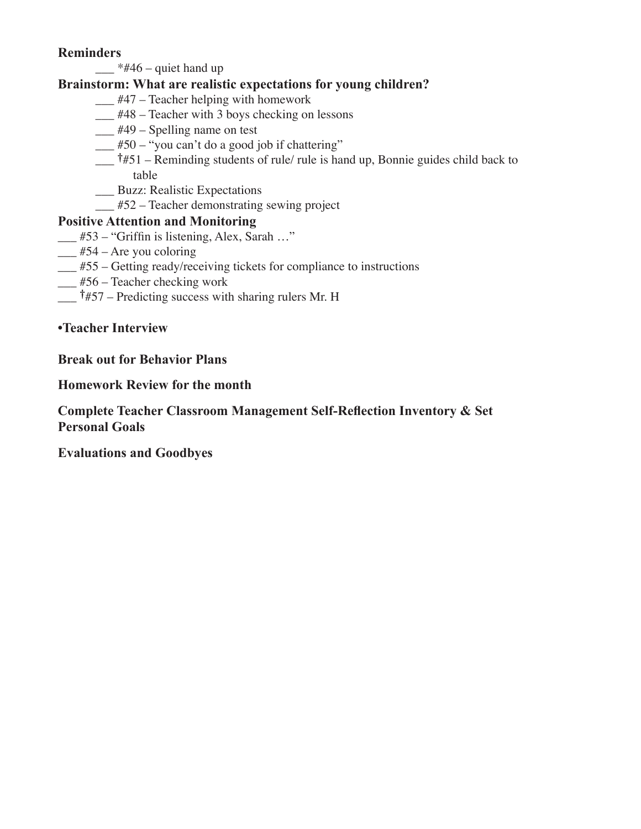### **Reminders**

 $\frac{4}{4}46$  – quiet hand up

## **Brainstorm: What are realistic expectations for young children?**

- $\frac{1}{447}$  Teacher helping with homework
- \_\_\_ #48 Teacher with 3 boys checking on lessons
- $\frac{1}{449}$  Spelling name on test
- $\frac{1}{2}$  #50 "you can't do a good job if chattering"
- $\frac{1}{4}$  +#51 Reminding students of rule/ rule is hand up, Bonnie guides child back to table
- \_\_\_ Buzz: Realistic Expectations
- \_\_\_ #52 Teacher demonstrating sewing project

## **Positive Attention and Monitoring**

- \_\_\_ #53 "Griffin is listening, Alex, Sarah …"
- $\frac{1}{2}$  #54 Are you coloring
- \_\_\_ #55 Getting ready/receiving tickets for compliance to instructions
- $\frac{1}{100}$  #56 Teacher checking work
- $\uparrow$   $\sharp$  57 Predicting success with sharing rulers Mr. H

### **•Teacher Interview**

### **Break out for Behavior Plans**

#### **Homework Review for the month**

### **Complete Teacher Classroom Management Self-Reflection Inventory & Set Personal Goals**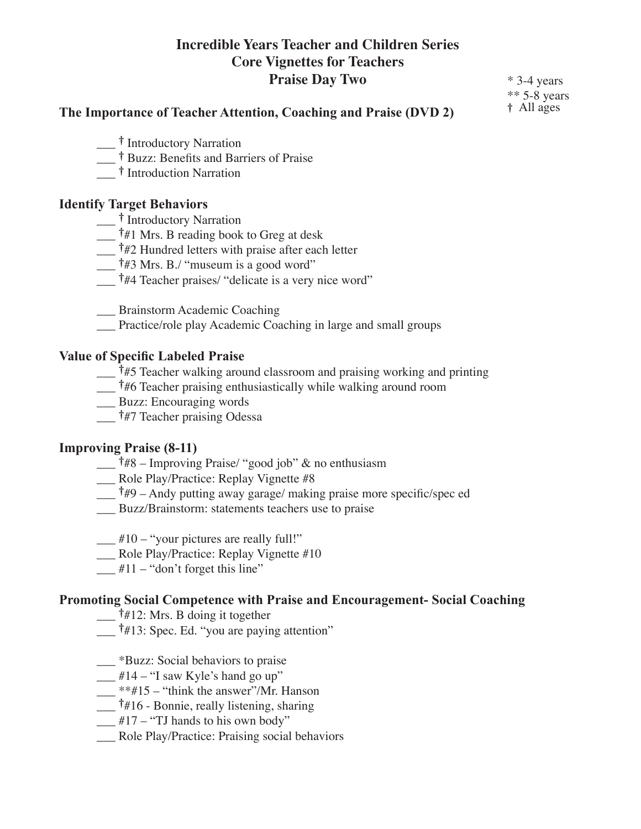# **Incredible Years Teacher and Children Series Core Vignettes for Teachers Praise Day Two**

\* 3-4 years \*\* 5-8 years † All ages

#### **The Importance of Teacher Attention, Coaching and Praise (DVD 2)**

- \_\_\_ † Introductory Narration
- \_\_\_ † Buzz: Benefits and Barriers of Praise
- \_\_\_ † Introduction Narration

#### **Identify Target Behaviors**

- \_\_\_ † Introductory Narration
- $\frac{1}{4}$  +  $\frac{1}{4}$  Mrs. B reading book to Greg at desk
- $\frac{1}{42}$  Hundred letters with praise after each letter
- \_\_\_ †#3 Mrs. B./ "museum is a good word"
- <sup>†</sup>#4 Teacher praises/ "delicate is a very nice word"
- \_\_\_ Brainstorm Academic Coaching
- \_\_\_ Practice/role play Academic Coaching in large and small groups

#### **Value of Specific Labeled Praise**

- \_\_\_ †#5 Teacher walking around classroom and praising working and printing
- \_\_\_ †#6 Teacher praising enthusiastically while walking around room
- \_\_\_ Buzz: Encouraging words
- \_\_\_ †#7 Teacher praising Odessa

#### **Improving Praise (8-11)**

- \_\_\_ †#8 Improving Praise/ "good job" & no enthusiasm
- \_\_\_ Role Play/Practice: Replay Vignette #8
- $\frac{1}{4}$  +  $\frac{1}{4}$ 9 Andy putting away garage/ making praise more specific/spec ed
- Buzz/Brainstorm: statements teachers use to praise
- $\frac{1}{2}$  #10 "your pictures are really full!"
- \_\_\_ Role Play/Practice: Replay Vignette #10
- $\frac{1}{2}$  #11 "don't forget this line"

#### **Promoting Social Competence with Praise and Encouragement- Social Coaching**

- $\overline{$ †#12: Mrs. B doing it together
- \_\_\_ †#13: Spec. Ed. "you are paying attention"
- \_\_\_ \*Buzz: Social behaviors to praise
- $\frac{1}{2}$  #14 "I saw Kyle's hand go up"
- $\frac{1}{2}$  \*\*#15 "think the answer"/Mr. Hanson
- \_\_\_ †#16 Bonnie, really listening, sharing
- $\frac{1}{2}$  #17 "TJ hands to his own body"
- \_\_\_ Role Play/Practice: Praising social behaviors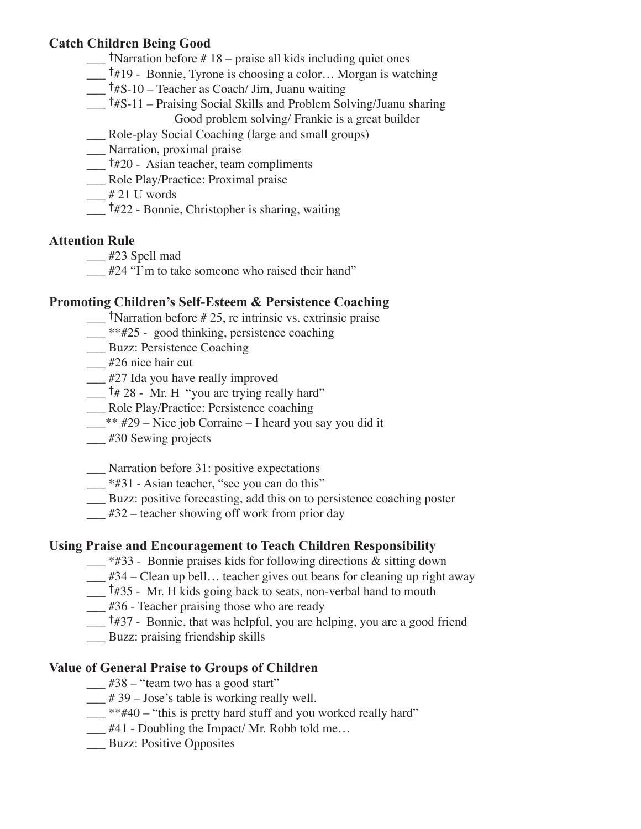### **Catch Children Being Good**

- $\frac{1}{\sqrt{2}}$  †Narration before #18 praise all kids including quiet ones
- \_\_\_ †#19 Bonnie, Tyrone is choosing a color… Morgan is watching
- $\frac{1}{4}$  †#S-10 Teacher as Coach/ Jim, Juanu waiting
- \_\_\_ †#S-11 Praising Social Skills and Problem Solving/Juanu sharing Good problem solving/ Frankie is a great builder
- \_\_\_ Role-play Social Coaching (large and small groups)
- \_\_\_ Narration, proximal praise
- $\frac{1}{420}$  Asian teacher, team compliments
- \_\_\_ Role Play/Practice: Proximal praise
- $-$  # 21 U words
- \_\_\_ †#22 Bonnie, Christopher is sharing, waiting

### **Attention Rule**

\_\_\_ #23 Spell mad

\_\_\_ #24 "I'm to take someone who raised their hand"

### **Promoting Children's Self-Esteem & Persistence Coaching**

 $\frac{1}{\sqrt{2}}$  †Narration before # 25, re intrinsic vs. extrinsic praise

- \_\_ \*\*#25 good thinking, persistence coaching
- \_\_\_ Buzz: Persistence Coaching

\_\_\_ #26 nice hair cut

\_\_\_ #27 Ida you have really improved

 $\dagger$  # 28 - Mr. H "you are trying really hard"

\_\_\_ Role Play/Practice: Persistence coaching

\_\_\_\*\* #29 – Nice job Corraine – I heard you say you did it

\_\_\_ #30 Sewing projects

\_\_\_ Narration before 31: positive expectations

\_\_ \*#31 - Asian teacher, "see you can do this"

\_\_\_ Buzz: positive forecasting, add this on to persistence coaching poster

 $\frac{1}{432}$  – teacher showing off work from prior day

### **Using Praise and Encouragement to Teach Children Responsibility**

- \_\_\_ \*#33 Bonnie praises kids for following directions & sitting down
- $\frac{1}{4}$  +34 Clean up bell... teacher gives out beans for cleaning up right away

 $\frac{1}{4}$  +  $\frac{435}{5}$  - Mr. H kids going back to seats, non-verbal hand to mouth

\_\_\_ #36 - Teacher praising those who are ready

\_\_\_ †#37 - Bonnie, that was helpful, you are helping, you are a good friend

\_\_\_ Buzz: praising friendship skills

### **Value of General Praise to Groups of Children**

- $\frac{1}{2}$  #38 "team two has a good start"
- $\frac{439 \text{Jose's table}}{20}$  is working really well.
- $\frac{1}{2}$  \*\*#40 "this is pretty hard stuff and you worked really hard"
- \_\_\_ #41 Doubling the Impact/ Mr. Robb told me…
- \_\_\_ Buzz: Positive Opposites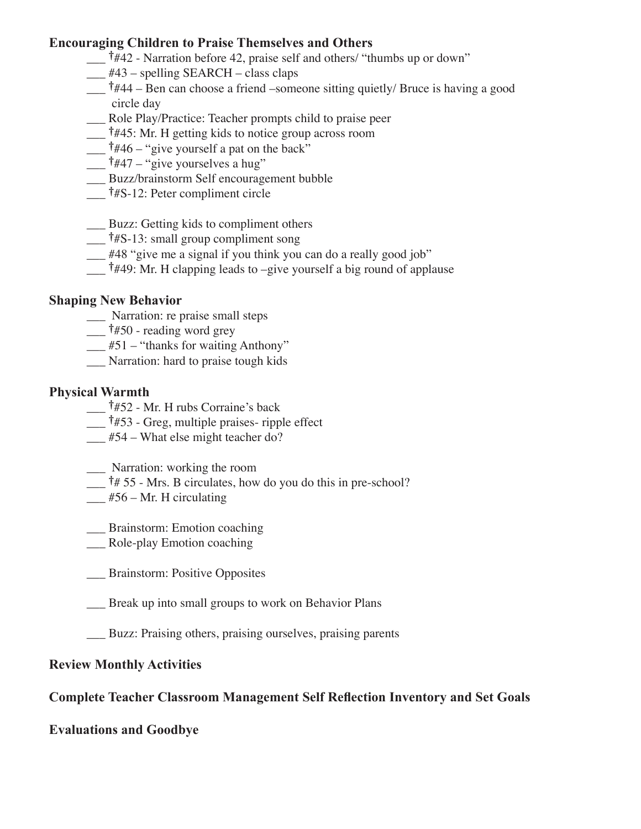### **Encouraging Children to Praise Themselves and Others**

- \_\_\_ †#42 Narration before 42, praise self and others/ "thumbs up or down"
- $\frac{1}{443}$  spelling SEARCH class claps
- \_\_\_ †#44 Ben can choose a friend –someone sitting quietly/ Bruce is having a good circle day
- \_\_\_ Role Play/Practice: Teacher prompts child to praise peer
- \_\_\_ †#45: Mr. H getting kids to notice group across room
- $\frac{1}{446}$  "give yourself a pat on the back"
- \_\_\_ †#47 "give yourselves a hug"
- \_\_\_ Buzz/brainstorm Self encouragement bubble
- $\frac{1}{4}$  †#S-12: Peter compliment circle
- \_\_\_ Buzz: Getting kids to compliment others
- $\frac{1}{4}$  †#S-13: small group compliment song
- \_\_\_ #48 "give me a signal if you think you can do a really good job"
- $\frac{1}{449}$ : Mr. H clapping leads to –give yourself a big round of applause

#### **Shaping New Behavior**

- \_\_\_ Narration: re praise small steps
- $\frac{1}{4}$  †#50 reading word grey
- $\underline{\hspace{1cm}}$ #51 "thanks for waiting Anthony"
- \_\_\_ Narration: hard to praise tough kids

#### **Physical Warmth**

- \_\_\_ †#52 Mr. H rubs Corraine's back
- $\frac{1}{4}$  †#53 Greg, multiple praises- ripple effect
- \_\_\_ #54 What else might teacher do?
- \_\_\_ Narration: working the room
- $\frac{1}{4}$  55 Mrs. B circulates, how do you do this in pre-school?
- $\frac{1}{2}$  #56 Mr. H circulating
- \_\_\_ Brainstorm: Emotion coaching
- \_\_\_ Role-play Emotion coaching
- \_\_\_ Brainstorm: Positive Opposites
- \_\_\_ Break up into small groups to work on Behavior Plans
- \_\_\_ Buzz: Praising others, praising ourselves, praising parents

#### **Review Monthly Activities**

#### **Complete Teacher Classroom Management Self Reflection Inventory and Set Goals**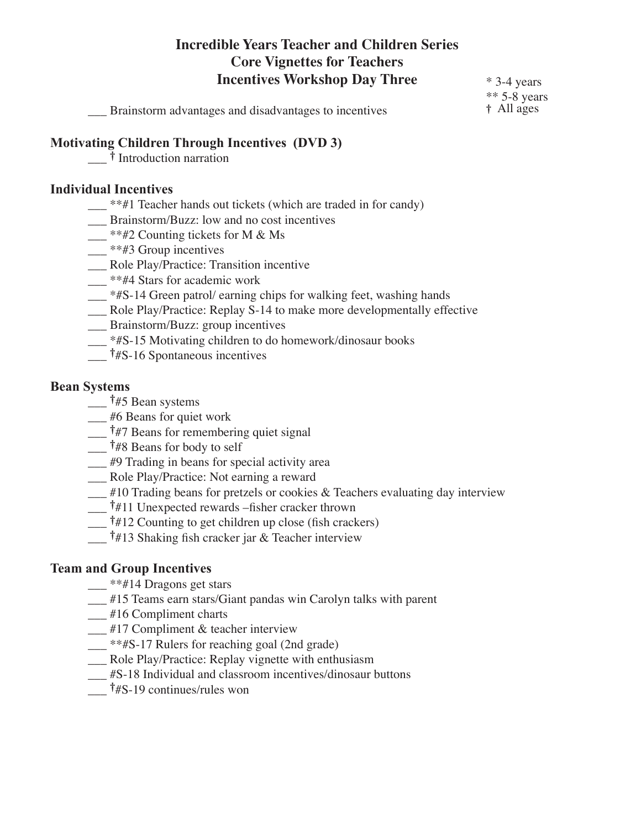# **Incredible Years Teacher and Children Series Core Vignettes for Teachers Incentives Workshop Day Three**

\_\_\_ Brainstorm advantages and disadvantages to incentives

\* 3-4 years \*\* 5-8 years † All ages

#### **Motivating Children Through Incentives (DVD 3)**

\_\_\_ † Introduction narration

#### **Individual Incentives**

- \_\_\_ \*\*#1 Teacher hands out tickets (which are traded in for candy)
- \_\_\_ Brainstorm/Buzz: low and no cost incentives
- $\frac{1}{2}$  \*\*#2 Counting tickets for M & Ms
- $\frac{1}{\sqrt{1-x^2}}$  \*\*#3 Group incentives
- \_\_\_ Role Play/Practice: Transition incentive
- \_\_ \*\*#4 Stars for academic work
- \_\_\_ \*#S-14 Green patrol/ earning chips for walking feet, washing hands
- \_\_\_ Role Play/Practice: Replay S-14 to make more developmentally effective
- \_\_\_ Brainstorm/Buzz: group incentives
- \_\_\_ \*#S-15 Motivating children to do homework/dinosaur books
- $\frac{1}{4}$  †#S-16 Spontaneous incentives

#### **Bean Systems**

- $\frac{1}{4}$  †#5 Bean systems
- \_\_\_ #6 Beans for quiet work
- $\frac{1}{47}$  Beans for remembering quiet signal
- \_\_\_ †#8 Beans for body to self
- \_\_\_ #9 Trading in beans for special activity area
- \_\_\_ Role Play/Practice: Not earning a reward
- $\mu$  #10 Trading beans for pretzels or cookies & Teachers evaluating day interview
- \_\_\_ †#11 Unexpected rewards –fisher cracker thrown
- \_\_\_ †#12 Counting to get children up close (fish crackers)
- \_\_\_ †#13 Shaking fish cracker jar & Teacher interview

#### **Team and Group Incentives**

- \_\_ \*\*#14 Dragons get stars
- \_\_\_ #15 Teams earn stars/Giant pandas win Carolyn talks with parent
- \_\_ #16 Compliment charts
- \_\_\_ #17 Compliment & teacher interview
- \_\_\_ \*\*#S-17 Rulers for reaching goal (2nd grade)
- \_\_\_ Role Play/Practice: Replay vignette with enthusiasm
- \_\_\_ #S-18 Individual and classroom incentives/dinosaur buttons
- $\frac{1}{4}$  †#S-19 continues/rules won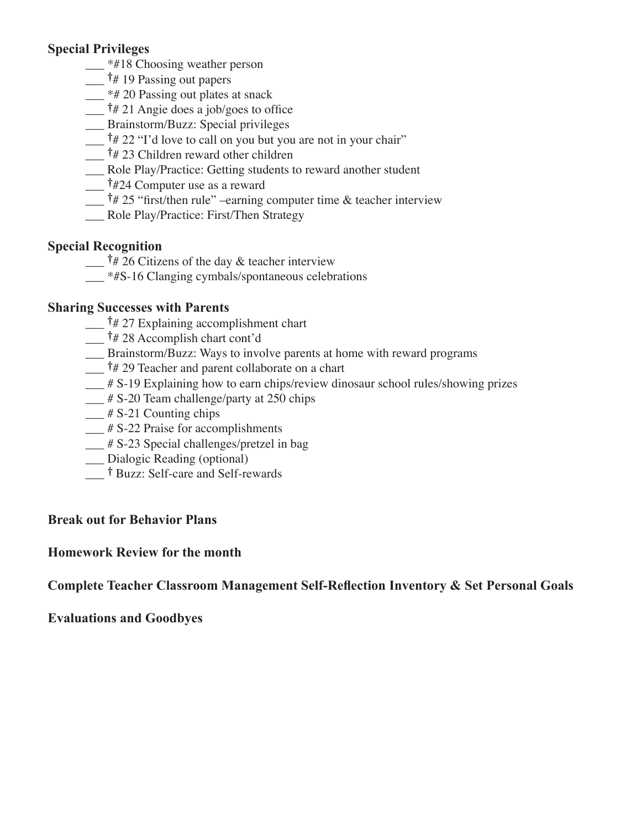## **Special Privileges**

- <sup>\*#18</sup> Choosing weather person
- $\frac{1}{2}$  †# 19 Passing out papers
- $\frac{1}{2}$  \*# 20 Passing out plates at snack
- $\frac{1}{4}$  21 Angie does a job/goes to office
- \_\_\_ Brainstorm/Buzz: Special privileges
- $\frac{1}{4}$  22 "I'd love to call on you but you are not in your chair"
- $\frac{1}{4}$  23 Children reward other children
- \_\_\_ Role Play/Practice: Getting students to reward another student
- \_\_\_ †#24 Computer use as a reward
- $\frac{1}{4}$  25 "first/then rule" –earning computer time & teacher interview
- \_\_\_ Role Play/Practice: First/Then Strategy

### **Special Recognition**

- $\frac{1}{4}$   $\frac{1}{2}$  Citizens of the day & teacher interview
- $*$ #S-16 Clanging cymbals/spontaneous celebrations

### **Sharing Successes with Parents**

- $\frac{1}{4}$   $\frac{1}{4}$  27 Explaining accomplishment chart
- $\frac{1}{4}$  28 Accomplish chart cont'd
- \_\_\_ Brainstorm/Buzz: Ways to involve parents at home with reward programs
- $\frac{1}{4}$   $\frac{1}{4}$  29 Teacher and parent collaborate on a chart
- \_\_\_ # S-19 Explaining how to earn chips/review dinosaur school rules/showing prizes
- $\frac{1}{4}$  S-20 Team challenge/party at 250 chips
- $\frac{1}{2}$  # S-21 Counting chips
- \_\_\_ # S-22 Praise for accomplishments
- $\frac{1}{4}$  S-23 Special challenges/pretzel in bag
- \_\_\_ Dialogic Reading (optional)
- <sup>†</sup> Buzz: Self-care and Self-rewards

## **Break out for Behavior Plans**

### **Homework Review for the month**

**Complete Teacher Classroom Management Self-Reflection Inventory & Set Personal Goals**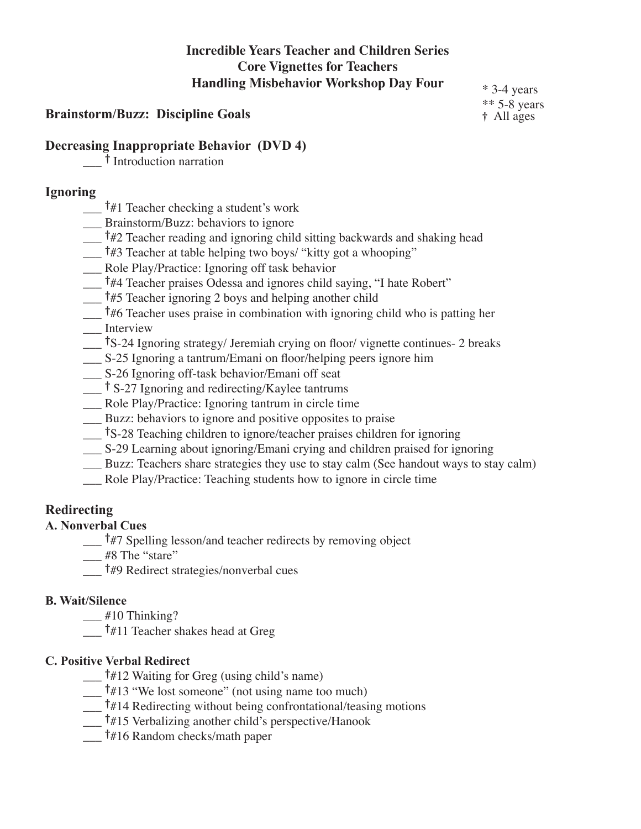# **Incredible Years Teacher and Children Series Core Vignettes for Teachers Handling Misbehavior Workshop Day Four**

### **Brainstorm/Buzz: Discipline Goals**

\* 3-4 years \*\* 5-8 years † All ages

#### **Decreasing Inappropriate Behavior (DVD 4)**

\_\_\_ † Introduction narration

#### **Ignoring**

- $\frac{1}{4}$  Teacher checking a student's work
- \_\_\_ Brainstorm/Buzz: behaviors to ignore
- $\frac{1}{4}$  Teacher reading and ignoring child sitting backwards and shaking head
- \_\_\_ †#3 Teacher at table helping two boys/ "kitty got a whooping"
- \_\_\_ Role Play/Practice: Ignoring off task behavior
- \_\_\_ †#4 Teacher praises Odessa and ignores child saying, "I hate Robert"
- $\frac{1}{45}$  Teacher ignoring 2 boys and helping another child
- $\frac{1}{4}$  +  $\frac{1}{4}$ 6 Teacher uses praise in combination with ignoring child who is patting her \_\_\_ Interview
- \_\_\_ †S-24 Ignoring strategy/ Jeremiah crying on floor/ vignette continues- 2 breaks
- \_\_\_ S-25 Ignoring a tantrum/Emani on floor/helping peers ignore him
- \_\_\_ S-26 Ignoring off-task behavior/Emani off seat
- $\frac{1}{\sqrt{2}}$  † S-27 Ignoring and redirecting/Kaylee tantrums
- Role Play/Practice: Ignoring tantrum in circle time
- \_\_\_ Buzz: behaviors to ignore and positive opposites to praise
- \_\_\_ †S-28 Teaching children to ignore/teacher praises children for ignoring
- \_\_\_ S-29 Learning about ignoring/Emani crying and children praised for ignoring
- \_\_\_ Buzz: Teachers share strategies they use to stay calm (See handout ways to stay calm)
- Role Play/Practice: Teaching students how to ignore in circle time

### **Redirecting**

### **A. Nonverbal Cues**

 $\frac{1}{47}$  Spelling lesson/and teacher redirects by removing object

- $\frac{1}{2}$  #8 The "stare"
- \_\_\_ †#9 Redirect strategies/nonverbal cues

#### **B. Wait/Silence**

- $\frac{1}{2}$  #10 Thinking?
- $\frac{1}{4}$  +  $\frac{1}{11}$  Teacher shakes head at Greg

### **C. Positive Verbal Redirect**

- $\dagger$ #12 Waiting for Greg (using child's name)
- $\uparrow$   $\sharp$ 13 "We lost someone" (not using name too much)
- $\frac{1}{4}$  +  $\frac{1}{4}$  Redirecting without being confrontational/teasing motions
- \_\_\_ †#15 Verbalizing another child's perspective/Hanook
- \_\_\_ †#16 Random checks/math paper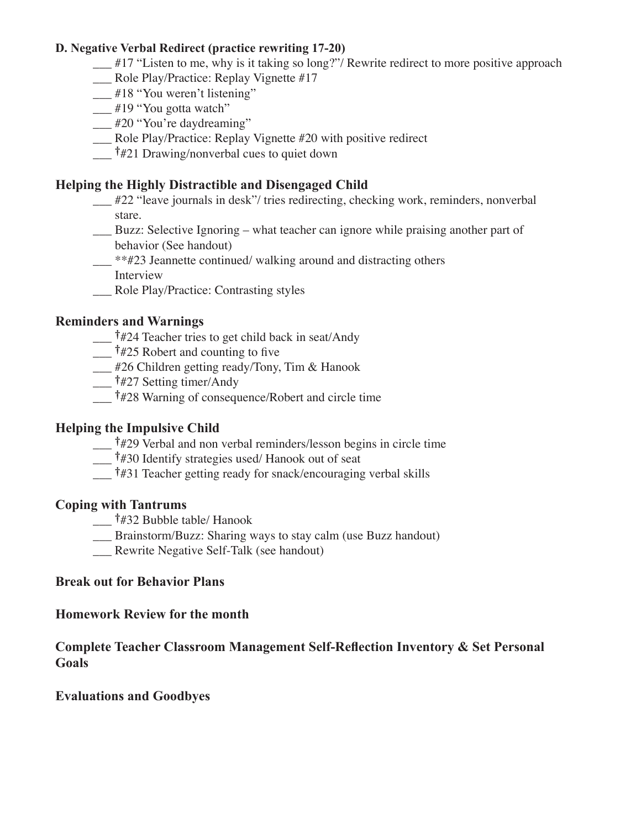#### **D. Negative Verbal Redirect (practice rewriting 17-20)**

- $\frac{1}{2}$  #17 "Listen to me, why is it taking so long?"/ Rewrite redirect to more positive approach
- \_\_\_ Role Play/Practice: Replay Vignette #17
- \_\_ #18 "You weren't listening"
- \_\_ #19 "You gotta watch"
- \_\_\_ #20 "You're daydreaming"
- \_\_\_ Role Play/Practice: Replay Vignette #20 with positive redirect
- $\frac{1}{4}$  +#21 Drawing/nonverbal cues to quiet down

### **Helping the Highly Distractible and Disengaged Child**

- \_\_\_ #22 "leave journals in desk"/ tries redirecting, checking work, reminders, nonverbal stare.
- \_\_\_ Buzz: Selective Ignoring what teacher can ignore while praising another part of behavior (See handout)
- \_\_\_ \*\*#23 Jeannette continued/ walking around and distracting others Interview
- \_\_\_ Role Play/Practice: Contrasting styles

### **Reminders and Warnings**

- \_\_\_ †#24 Teacher tries to get child back in seat/Andy
- $\frac{1}{425}$  Robert and counting to five
- \_\_\_ #26 Children getting ready/Tony, Tim & Hanook
- $\frac{1}{427}$  Setting timer/Andy
- \_\_\_ †#28 Warning of consequence/Robert and circle time

### **Helping the Impulsive Child**

- $\frac{1}{429}$  Verbal and non verbal reminders/lesson begins in circle time
- \_\_\_ †#30 Identify strategies used/ Hanook out of seat
- \_\_\_ †#31 Teacher getting ready for snack/encouraging verbal skills

#### **Coping with Tantrums**

- \_\_\_ †#32 Bubble table/ Hanook
- \_\_\_ Brainstorm/Buzz: Sharing ways to stay calm (use Buzz handout)
- \_\_\_ Rewrite Negative Self-Talk (see handout)

#### **Break out for Behavior Plans**

#### **Homework Review for the month**

**Complete Teacher Classroom Management Self-Reflection Inventory & Set Personal Goals**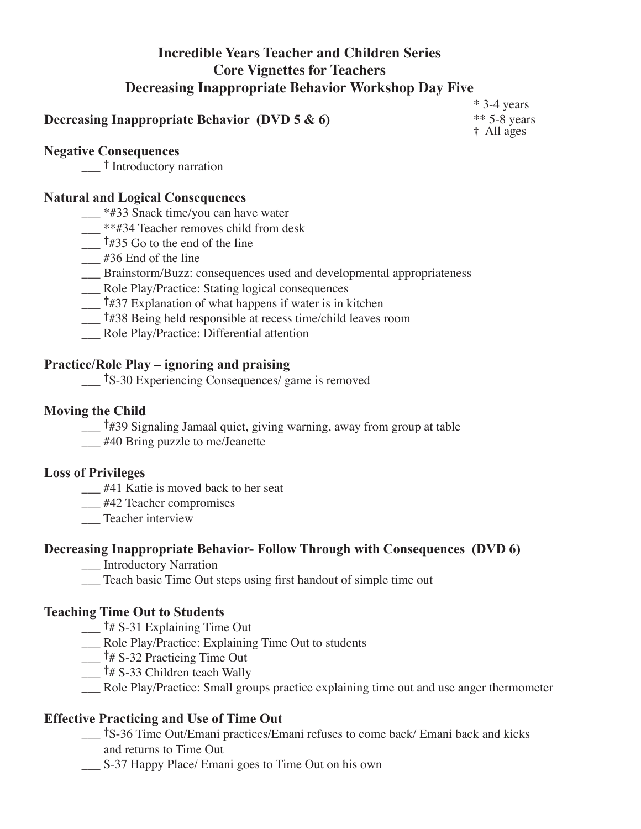# **Incredible Years Teacher and Children Series Core Vignettes for Teachers Decreasing Inappropriate Behavior Workshop Day Five**

## **Decreasing Inappropriate Behavior (DVD 5 & 6)**

\* 3-4 years \*\* 5-8 years † All ages

#### **Negative Consequences**

\_\_\_ † Introductory narration

#### **Natural and Logical Consequences**

- $*$ #33 Snack time/you can have water
- $\frac{1}{2}$  \*\*#34 Teacher removes child from desk
- $\frac{1}{4}$   $\frac{1}{4}$   $\frac{1}{35}$  Go to the end of the line
- $\frac{1}{436}$  End of the line
- \_\_\_ Brainstorm/Buzz: consequences used and developmental appropriateness
- \_\_\_ Role Play/Practice: Stating logical consequences
- $\frac{1}{4}$   $\frac{1}{4}$   $\frac{1}{37}$  Explanation of what happens if water is in kitchen
- \_\_\_ †#38 Being held responsible at recess time/child leaves room
- \_\_\_ Role Play/Practice: Differential attention

#### **Practice/Role Play – ignoring and praising**

\_\_\_ †S-30 Experiencing Consequences/ game is removed

#### **Moving the Child**

- \_\_\_ †#39 Signaling Jamaal quiet, giving warning, away from group at table
- \_\_\_ #40 Bring puzzle to me/Jeanette

#### **Loss of Privileges**

- \_\_\_ #41 Katie is moved back to her seat
- \_\_\_ #42 Teacher compromises
- \_\_\_ Teacher interview

#### **Decreasing Inappropriate Behavior- Follow Through with Consequences (DVD 6)**

- \_\_\_ Introductory Narration
- \_\_\_ Teach basic Time Out steps using first handout of simple time out

#### **Teaching Time Out to Students**

- $\frac{1}{4}$  S-31 Explaining Time Out
- \_\_\_ Role Play/Practice: Explaining Time Out to students
- $\frac{1}{4}$  \$-32 Practicing Time Out
- $\frac{1}{4}$  \$-33 Children teach Wally
- \_\_\_ Role Play/Practice: Small groups practice explaining time out and use anger thermometer

### **Effective Practicing and Use of Time Out**

- \_\_\_ †S-36 Time Out/Emani practices/Emani refuses to come back/ Emani back and kicks and returns to Time Out
- \_\_\_ S-37 Happy Place/ Emani goes to Time Out on his own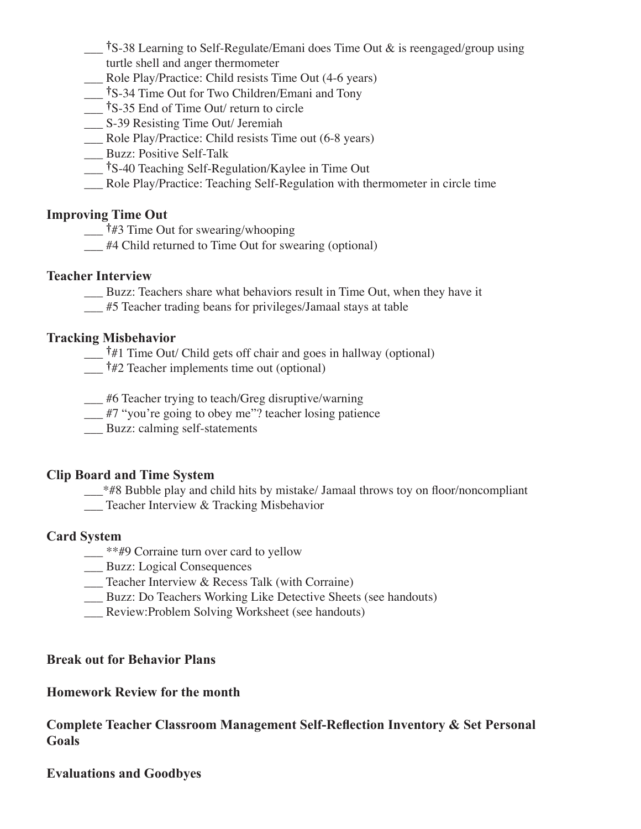- \_\_\_ †S-38 Learning to Self-Regulate/Emani does Time Out & is reengaged/group using turtle shell and anger thermometer
- \_\_\_ Role Play/Practice: Child resists Time Out (4-6 years)
- \_\_\_ †S-34 Time Out for Two Children/Emani and Tony
- \_\_\_ †S-35 End of Time Out/ return to circle
- \_\_\_ S-39 Resisting Time Out/ Jeremiah
- \_\_\_ Role Play/Practice: Child resists Time out (6-8 years)
- \_\_ Buzz: Positive Self-Talk
- \_\_\_ †S-40 Teaching Self-Regulation/Kaylee in Time Out
- \_\_\_ Role Play/Practice: Teaching Self-Regulation with thermometer in circle time

### **Improving Time Out**

- $\frac{1}{4}$  +  $\frac{1}{4}$  Time Out for swearing/whooping
- \_\_\_ #4 Child returned to Time Out for swearing (optional)

### **Teacher Interview**

\_\_\_ Buzz: Teachers share what behaviors result in Time Out, when they have it

\_\_\_ #5 Teacher trading beans for privileges/Jamaal stays at table

## **Tracking Misbehavior**

 $\frac{1}{4}$  Time Out/ Child gets off chair and goes in hallway (optional)

 $\frac{1}{42}$  Teacher implements time out (optional)

\_\_\_ #6 Teacher trying to teach/Greg disruptive/warning

\_\_\_ #7 "you're going to obey me"? teacher losing patience

Buzz: calming self-statements

### **Clip Board and Time System**

 $*$ #8 Bubble play and child hits by mistake/ Jamaal throws toy on floor/noncompliant

Teacher Interview & Tracking Misbehavior

### **Card System**

- \_\_ \*\*#9 Corraine turn over card to yellow
- \_\_\_ Buzz: Logical Consequences
- \_\_\_ Teacher Interview & Recess Talk (with Corraine)
- \_\_\_ Buzz: Do Teachers Working Like Detective Sheets (see handouts)
- Review: Problem Solving Worksheet (see handouts)

### **Break out for Behavior Plans**

### **Homework Review for the month**

**Complete Teacher Classroom Management Self-Reflection Inventory & Set Personal Goals**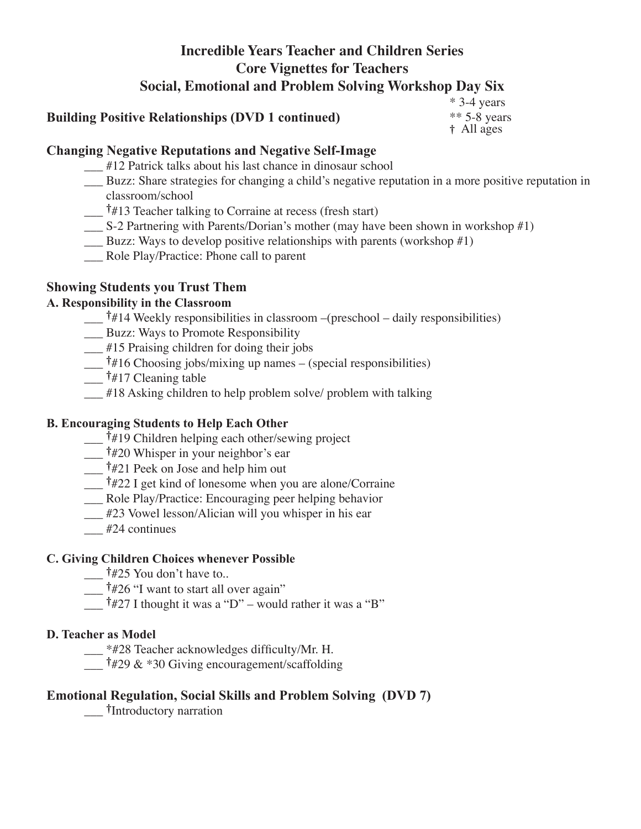# **Incredible Years Teacher and Children Series Core Vignettes for Teachers Social, Emotional and Problem Solving Workshop Day Six**

### **Building Positive Relationships (DVD 1 continued)**

\* 3-4 years \*\* 5-8 years † All ages

### **Changing Negative Reputations and Negative Self-Image**

- \_\_\_ #12 Patrick talks about his last chance in dinosaur school
- \_\_\_ Buzz: Share strategies for changing a child's negative reputation in a more positive reputation in classroom/school
- $\frac{1}{4}$  +  $\frac{1}{3}$  Teacher talking to Corraine at recess (fresh start)
- \_\_\_ S-2 Partnering with Parents/Dorian's mother (may have been shown in workshop #1)
- $\frac{1}{2}$  Buzz: Ways to develop positive relationships with parents (workshop #1)
- \_\_\_ Role Play/Practice: Phone call to parent

## **Showing Students you Trust Them**

### **A. Responsibility in the Classroom**

- $\frac{1}{4}$  +  $\frac{1}{4}$  Weekly responsibilities in classroom –(preschool daily responsibilities)
- \_\_\_ Buzz: Ways to Promote Responsibility
- \_\_\_ #15 Praising children for doing their jobs
- $\frac{1}{4}$  +16 Choosing jobs/mixing up names (special responsibilities)
- $\frac{1}{4}$  †#17 Cleaning table
- #18 Asking children to help problem solve/ problem with talking

### **B. Encouraging Students to Help Each Other**

- \_\_\_ †#19 Children helping each other/sewing project
- \_\_\_ †#20 Whisper in your neighbor's ear
- \_\_\_ †#21 Peek on Jose and help him out
- \_\_\_ †#22 I get kind of lonesome when you are alone/Corraine
- \_\_\_ Role Play/Practice: Encouraging peer helping behavior
- \_\_\_ #23 Vowel lesson/Alician will you whisper in his ear
- $#24$  continues

### **C. Giving Children Choices whenever Possible**

- $\frac{1}{425}$  You don't have to..
- $\frac{1}{4}$  #26 "I want to start all over again"
- $\overline{a}$  †#27 I thought it was a "D" would rather it was a "B"

#### **D. Teacher as Model**

- \_\_\_ \*#28 Teacher acknowledges difficulty/Mr. H.
- $\uparrow$  #29 & \*30 Giving encouragement/scaffolding

### **Emotional Regulation, Social Skills and Problem Solving (DVD 7)**

\_\_\_ †Introductory narration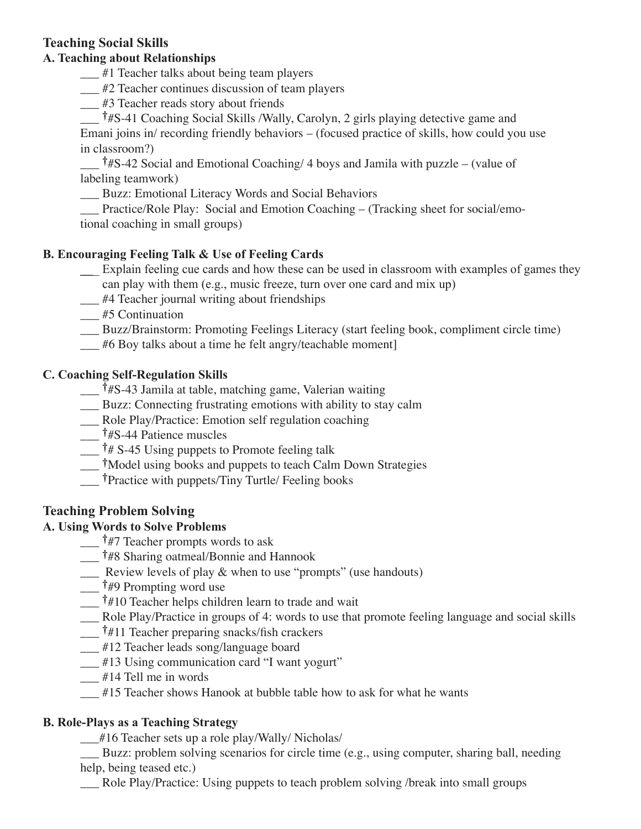## **Teaching Social Skills**

#### **A. Teaching about Relationships**

 $\frac{1}{2}$  #1 Teacher talks about being team players

\_\_\_ #2 Teacher continues discussion of team players

\_\_\_ #3 Teacher reads story about friends

\_\_\_ †#S-41 Coaching Social Skills /Wally, Carolyn, 2 girls playing detective game and Emani joins in/ recording friendly behaviors – (focused practice of skills, how could you use in classroom?)

 $\frac{1}{4}$  †#S-42 Social and Emotional Coaching/ 4 boys and Jamila with puzzle – (value of labeling teamwork)

Buzz: Emotional Literacy Words and Social Behaviors

Practice/Role Play: Social and Emotion Coaching – (Tracking sheet for social/emotional coaching in small groups)

### **B. Encouraging Feeling Talk & Use of Feeling Cards**

- **\_\_**\_ Explain feeling cue cards and how these can be used in classroom with examples of games they can play with them (e.g., music freeze, turn over one card and mix up)
- \_\_\_ #4 Teacher journal writing about friendships
- \_\_\_ #5 Continuation
- \_\_\_ Buzz/Brainstorm: Promoting Feelings Literacy (start feeling book, compliment circle time)
- \_\_\_ #6 Boy talks about a time he felt angry/teachable moment]

#### **C. Coaching Self-Regulation Skills**

- \_\_\_ †#S-43 Jamila at table, matching game, Valerian waiting
- Buzz: Connecting frustrating emotions with ability to stay calm
- \_\_\_ Role Play/Practice: Emotion self regulation coaching
- \_\_\_ †#S-44 Patience muscles
- $\dagger$ # S-45 Using puppets to Promote feeling talk
- \_\_\_ †Model using books and puppets to teach Calm Down Strategies
- \_\_\_ †Practice with puppets/Tiny Turtle/ Feeling books

## **Teaching Problem Solving**

### **A. Using Words to Solve Problems**

- <sup>†</sup>#7 Teacher prompts words to ask
- \_\_\_ †#8 Sharing oatmeal/Bonnie and Hannook
- \_\_\_ Review levels of play & when to use "prompts" (use handouts)
- $\frac{1}{4}$   $\frac{1}{4}$  Prompting word use
- \_\_\_ †#10 Teacher helps children learn to trade and wait
- \_\_\_ Role Play/Practice in groups of 4: words to use that promote feeling language and social skills
- $\frac{1}{4}$  †#11 Teacher preparing snacks/fish crackers
- \_\_\_ #12 Teacher leads song/language board
- \_\_\_ #13 Using communication card "I want yogurt"
- $\frac{1}{414}$  Tell me in words
- #15 Teacher shows Hanook at bubble table how to ask for what he wants

#### **B. Role-Plays as a Teaching Strategy**

\_\_\_#16 Teacher sets up a role play/Wally/ Nicholas/

\_\_\_ Buzz: problem solving scenarios for circle time (e.g., using computer, sharing ball, needing help, being teased etc.)

\_\_\_ Role Play/Practice: Using puppets to teach problem solving /break into small groups